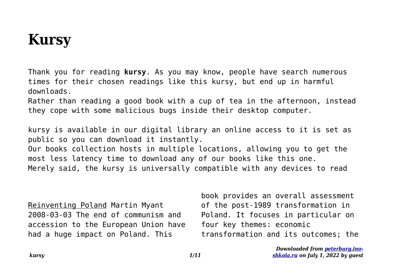## **Kursy**

Thank you for reading **kursy**. As you may know, people have search numerous times for their chosen readings like this kursy, but end up in harmful downloads.

Rather than reading a good book with a cup of tea in the afternoon, instead they cope with some malicious bugs inside their desktop computer.

kursy is available in our digital library an online access to it is set as public so you can download it instantly. Our books collection hosts in multiple locations, allowing you to get the most less latency time to download any of our books like this one. Merely said, the kursy is universally compatible with any devices to read

Reinventing Poland Martin Myant 2008-03-03 The end of communism and accession to the European Union have had a huge impact on Poland. This

book provides an overall assessment of the post-1989 transformation in Poland. It focuses in particular on four key themes: economic transformation and its outcomes; the

> *Downloaded from [peterburg.ino](http://peterburg.ino-shkola.ru)[shkola.ru](http://peterburg.ino-shkola.ru) on July 1, 2022 by guest*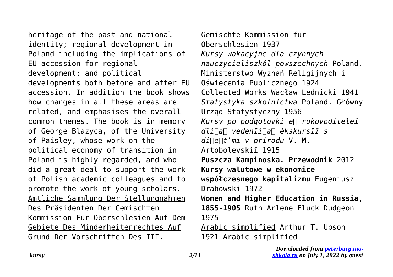heritage of the past and national identity; regional development in Poland including the implications of EU accession for regional development; and political developments both before and after EU accession. In addition the book shows how changes in all these areas are related, and emphasises the overall common themes. The book is in memory of George Blazyca, of the University of Paisley, whose work on the political economy of transition in Poland is highly regarded, and who did a great deal to support the work of Polish academic colleagues and to promote the work of young scholars. Amtliche Sammlung Der Stellungnahmen Des Präsidenten Der Gemischten Kommission Für Oberschlesien Auf Dem Gebiete Des Minderheitenrechtes Auf Grund Der Vorschriften Des III.

Gemischte Kommission für Oberschlesien 1937 *Kursy wakacyjne dla czynnych nauczycieliszkól powszechnych* Poland. Ministerstwo Wyznań Religijnych i Oświecenia Publicznego 1924 Collected Works Wacław Lednicki 1941 *Statystyka szkolnictwa* Poland. Główny Urząd Statystyczny 1956 *Kursy po podgotovki︠e︡ rukovoditeleĭ dli︠a︡ vedenīi︠a︡ ėkskursīĭ s di︠e︡tʹmi v prirodu* V. M. Artobolevskiĭ 1915 **Puszcza Kampinoska. Przewodnik** 2012 **Kursy walutowe w ekonomice współczesnego kapitalizmu** Eugeniusz Drabowski 1972 **Women and Higher Education in Russia, 1855-1905** Ruth Arlene Fluck Dudgeon 1975 Arabic simplified Arthur T. Upson 1921 Arabic simplified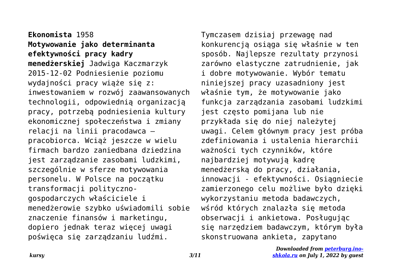**Ekonomista** 1958 **Motywowanie jako determinanta efektywności pracy kadry menedżerskiej** Jadwiga Kaczmarzyk 2015-12-02 Podniesienie poziomu wydajności pracy wiąże się z: inwestowaniem w rozwój zaawansowanych technologii, odpowiednią organizacją pracy, potrzebą podniesienia kultury ekonomicznej społeczeństwa i zmiany relacji na linii pracodawca – pracobiorca. Wciąż jeszcze w wielu firmach bardzo zaniedbana dziedzina jest zarządzanie zasobami ludzkimi, szczególnie w sferze motywowania personelu. W Polsce na początku transformacji politycznogospodarczych właściciele i menedżerowie szybko uświadomili sobie znaczenie finansów i marketingu, dopiero jednak teraz więcej uwagi poświęca się zarządzaniu ludźmi.

Tymczasem dzisiaj przewagę nad konkurencją osiąga się właśnie w ten sposób. Najlepsze rezultaty przynosi zarówno elastyczne zatrudnienie, jak i dobre motywowanie. Wybór tematu niniejszej pracy uzasadniony jest właśnie tym, że motywowanie jako funkcja zarządzania zasobami ludzkimi jest często pomijana lub nie przykłada się do niej należytej uwagi. Celem głównym pracy jest próba zdefiniowania i ustalenia hierarchii ważności tych czynników, które najbardziej motywują kadrę menedżerską do pracy, działania, innowacji - efektywności. Osiągniecie zamierzonego celu możliwe było dzięki wykorzystaniu metoda badawczych, wśród których znalazła się metoda obserwacji i ankietowa. Posługując się narzędziem badawczym, którym była skonstruowana ankieta, zapytano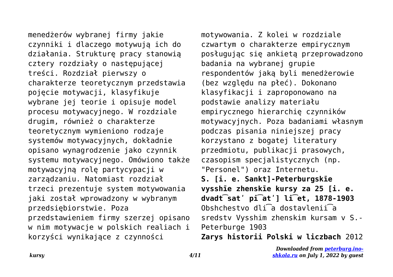menedżerów wybranej firmy jakie czynniki i dlaczego motywują ich do działania. Strukturę pracy stanowią cztery rozdziały o następującej treści. Rozdział pierwszy o charakterze teoretycznym przedstawia pojęcie motywacji, klasyfikuje wybrane jej teorie i opisuje model procesu motywacyjnego. W rozdziale drugim, również o charakterze teoretycznym wymieniono rodzaje systemów motywacyjnych, dokładnie opisano wynagrodzenie jako czynnik systemu motywacyjnego. Omówiono także motywacyjną rolę partycypacji w zarządzaniu. Natomiast rozdział trzeci prezentuje system motywowania jaki został wprowadzony w wybranym przedsiębiorstwie. Poza przedstawieniem firmy szerzej opisano w nim motywacje w polskich realiach i korzyści wynikające z czynności

motywowania. Z kolei w rozdziale czwartym o charakterze empirycznym posługując się ankietą przeprowadzono badania na wybranej grupie respondentów jaką byli menedżerowie (bez względu na płeć). Dokonano klasyfikacji i zaproponowano na podstawie analizy materiału empirycznego hierarchię czynników motywacyjnych. Poza badaniami własnym podczas pisania niniejszej pracy korzystano z bogatej literatury przedmiotu, publikacji prasowych, czasopism specjalistycznych (np. "Personel") oraz Internetu.

**S. [i. e. Sankt]-Peterburgskīe vysshīe zhenskīe kursy za 25 [i. e. dvadt͡satʹ pi͡atʹ] li͡et, 1878-1903** Obshchestvo dli͡a dostavlenii͡a sredstv Vysshim zhenskim kursam v S.- Peterburge 1903

**Zarys historii Polski w liczbach** 2012

*Downloaded from [peterburg.ino](http://peterburg.ino-shkola.ru)[shkola.ru](http://peterburg.ino-shkola.ru) on July 1, 2022 by guest*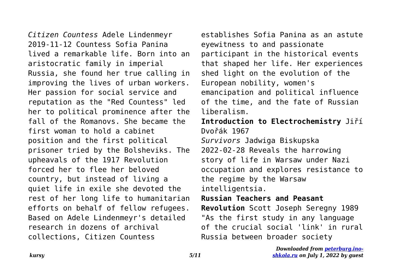*Citizen Countess* Adele Lindenmeyr 2019-11-12 Countess Sofia Panina lived a remarkable life. Born into an aristocratic family in imperial Russia, she found her true calling in improving the lives of urban workers. Her passion for social service and reputation as the "Red Countess" led her to political prominence after the fall of the Romanovs. She became the first woman to hold a cabinet position and the first political prisoner tried by the Bolsheviks. The upheavals of the 1917 Revolution forced her to flee her beloved country, but instead of living a quiet life in exile she devoted the rest of her long life to humanitarian efforts on behalf of fellow refugees. Based on Adele Lindenmeyr's detailed research in dozens of archival collections, Citizen Countess

establishes Sofia Panina as an astute eyewitness to and passionate participant in the historical events that shaped her life. Her experiences shed light on the evolution of the European nobility, women's emancipation and political influence of the time, and the fate of Russian liberalism.

**Introduction to Electrochemistry** Jiří Dvořák 1967

*Survivors* Jadwiga Biskupska 2022-02-28 Reveals the harrowing story of life in Warsaw under Nazi occupation and explores resistance to the regime by the Warsaw intelligentsia.

## **Russian Teachers and Peasant**

**Revolution** Scott Joseph Seregny 1989 "As the first study in any language of the crucial social 'link' in rural Russia between broader society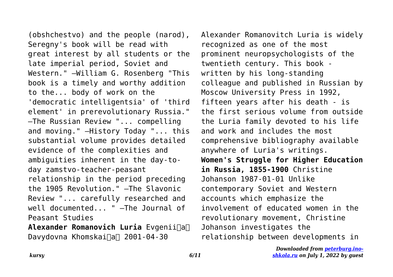(obshchestvo) and the people (narod), Seregny's book will be read with great interest by all students or the late imperial period, Soviet and Western." —William G. Rosenberg "This book is a timely and worthy addition to the... body of work on the 'democratic intelligentsia' of 'third element' in prerevolutionary Russia." —The Russian Review "... compelling and moving." —History Today "... this substantial volume provides detailed evidence of the complexities and ambiguities inherent in the day-today zamstvo-teacher-peasant relationship in the period preceding the 1905 Revolution." —The Slavonic Review "... carefully researched and well documented... " —The Journal of Peasant Studies

**Alexander Romanovich Luria** Evgenii $\Box$ a $\Box$ Davydovna Khomskai∏a∏ 2001-04-30

Alexander Romanovitch Luria is widely recognized as one of the most prominent neuropsychologists of the twentieth century. This book written by his long-standing colleague and published in Russian by Moscow University Press in 1992, fifteen years after his death - is the first serious volume from outside the Luria family devoted to his life and work and includes the most comprehensive bibliography available anywhere of Luria's writings. **Women's Struggle for Higher Education in Russia, 1855-1900** Christine Johanson 1987-01-01 Unlike contemporary Soviet and Western accounts which emphasize the involvement of educated women in the revolutionary movement, Christine Johanson investigates the relationship between developments in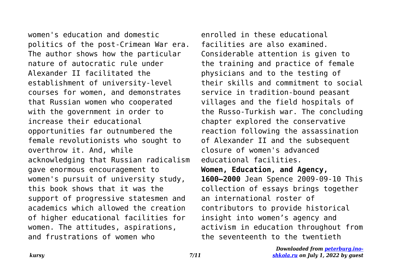women's education and domestic politics of the post-Crimean War era. The author shows how the particular nature of autocratic rule under Alexander II facilitated the establishment of university-level courses for women, and demonstrates that Russian women who cooperated with the government in order to increase their educational opportunities far outnumbered the female revolutionists who sought to overthrow it. And, while acknowledging that Russian radicalism gave enormous encouragement to women's pursuit of university study, this book shows that it was the support of progressive statesmen and academics which allowed the creation of higher educational facilities for women. The attitudes, aspirations, and frustrations of women who

enrolled in these educational facilities are also examined. Considerable attention is given to the training and practice of female physicians and to the testing of their skills and commitment to social service in tradition-bound peasant villages and the field hospitals of the Russo-Turkish war. The concluding chapter explored the conservative reaction following the assassination of Alexander II and the subsequent closure of women's advanced educational facilities. **Women, Education, and Agency, 1600–2000** Jean Spence 2009-09-10 This collection of essays brings together an international roster of contributors to provide historical insight into women's agency and activism in education throughout from the seventeenth to the twentieth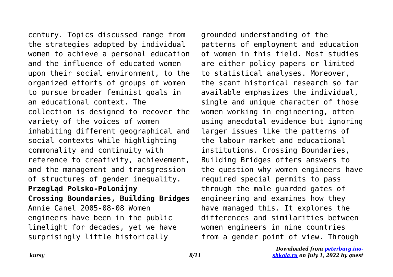century. Topics discussed range from the strategies adopted by individual women to achieve a personal education and the influence of educated women upon their social environment, to the organized efforts of groups of women to pursue broader feminist goals in an educational context. The collection is designed to recover the variety of the voices of women inhabiting different geographical and social contexts while highlighting commonality and continuity with reference to creativity, achievement, and the management and transgression of structures of gender inequality. **Przegląd Polsko-Polonijny Crossing Boundaries, Building Bridges** Annie Canel 2005-08-08 Women engineers have been in the public limelight for decades, yet we have surprisingly little historically

grounded understanding of the patterns of employment and education of women in this field. Most studies are either policy papers or limited to statistical analyses. Moreover, the scant historical research so far available emphasizes the individual, single and unique character of those women working in engineering, often using anecdotal evidence but ignoring larger issues like the patterns of the labour market and educational institutions. Crossing Boundaries, Building Bridges offers answers to the question why women engineers have required special permits to pass through the male guarded gates of engineering and examines how they have managed this. It explores the differences and similarities between women engineers in nine countries from a gender point of view. Through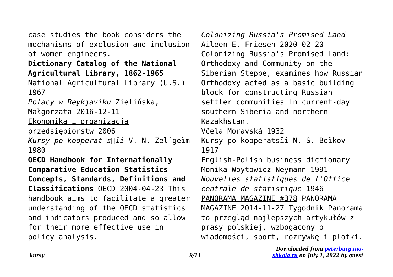case studies the book considers the mechanisms of exclusion and inclusion of women engineers.

**Dictionary Catalog of the National Agricultural Library, 1862-1965** National Agricultural Library (U.S.) 1967

*Polacy w Reykjaviku* Zielińska, Małgorzata 2016-12-11

Ekonomika i organizacja

przedsiębiorstw 2006

*Kursy po kooperat︠s︡īi* V. N. Zelʹgeĭm 1980

**OECD Handbook for Internationally Comparative Education Statistics Concepts, Standards, Definitions and Classifications** OECD 2004-04-23 This handbook aims to facilitate a greater understanding of the OECD statistics and indicators produced and so allow for their more effective use in policy analysis.

*Colonizing Russia's Promised Land* Aileen E. Friesen 2020-02-20 Colonizing Russia's Promised Land: Orthodoxy and Community on the Siberian Steppe, examines how Russian Orthodoxy acted as a basic building block for constructing Russian settler communities in current-day southern Siberia and northern Kazakhstan. Včela Moravská 1932 Kursy po kooperatsïi N. S. Boĭkov 1917 English-Polish business dictionary Monika Woytowicz-Neymann 1991 *Nouvelles statistiques de l'Office centrale de statistique* 1946 PANORAMA MAGAZINE #378 PANORAMA MAGAZINE 2014-11-27 Tygodnik Panorama to przegląd najlepszych artykułów z prasy polskiej, wzbogacony o wiadomości, sport, rozrywkę i plotki.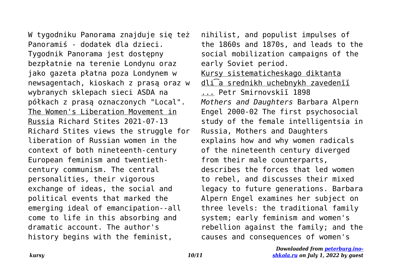W tygodniku Panorama znajduje się też Panoramiś - dodatek dla dzieci. Tygodnik Panorama jest dostępny bezpłatnie na terenie Londynu oraz jako gazeta płatna poza Londynem w newsagentach, kioskach z prasą oraz w wybranych sklepach sieci ASDA na półkach z prasą oznaczonych "Local". The Women's Liberation Movement in Russia Richard Stites 2021-07-13 Richard Stites views the struggle for liberation of Russian women in the context of both nineteenth-century European feminism and twentiethcentury communism. The central personalities, their vigorous exchange of ideas, the social and political events that marked the emerging ideal of emancipation--all come to life in this absorbing and dramatic account. The author's history begins with the feminist,

nihilist, and populist impulses of the 1860s and 1870s, and leads to the social mobilization campaigns of the early Soviet period. Kursy sistematicheskago diktanta dli͡a srednikh uchebnykh zavedenīĭ ... Petr Smirnovskīĭ 1898 *Mothers and Daughters* Barbara Alpern Engel 2000-02 The first psychosocial study of the female intelligentsia in Russia, Mothers and Daughters explains how and why women radicals of the nineteenth century diverged from their male counterparts, describes the forces that led women to rebel, and discusses their mixed legacy to future generations. Barbara Alpern Engel examines her subject on three levels: the traditional family system; early feminism and women's rebellion against the family; and the causes and consequences of women's